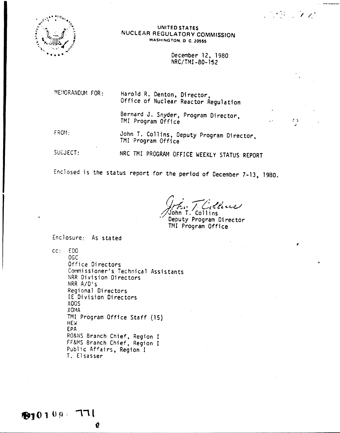

## UNITED STATES NUCLEAR REGULATORY COMMISSION WASHINGTON, D.C. 20555

December 12, 1980 NRC/TMI-80-152

SAN SOUR

 $\mathbf{r}$ 

MEMORANDUM FOR:

Harold R. Denton, Director, Office of Nuclear Reactor Regulation

Bernard J. Snyder, Program Director, TMI Program Office

 $FROM-$ 

John T. Collins, Deputy Program Director. TMI Program Office

SUEJECT:

NRC TMI PROGRAM OFFICE WEEKLY STATUS REPORT

Enclosed is the status report for the period of December 7-13, 1980.

: llevel John T. Collins

Deputy Program Director TMI Program Office

Enclosure: As stated

 $cc: EDO$ 

 $OGC$ Office Directors Commissioner's Technical Assistants NRR Division Directors NRR A/D's Regional Directors IE Division Directors **X00S** XOMA TMI Program Office Staff (15) **HEW** EPA RO&NS Branch Chief, Region I FF&MS Branch Chief, Region I Public Affairs, Region I T. Elsasser

Q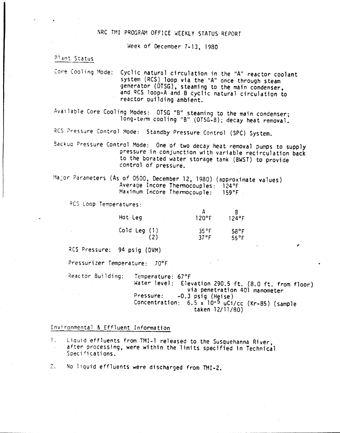# NRC TMI PROGRAM OFFICE WEEKLY STATUS REPORT

Week of December 7-13, 1980

Plant Status Plant Status

Core Cooling Mode: Cyclic natural circulation in the "A" reactor coolant system (RCS) loop via the "A" once through steam generator (OTSG), steaming to the main condenser and QCS loop-A and B cyclic natural circulation to reactor building ambient.

Available Core Cooling Modes: OTSG "B" steaming to the main condenser; long-term cooling "B" (OTSG-B); decay heat removal.

RCS Pressure Control Mode: Standby Pressure Control (SPC) System.

Sackup Pressure Control Mode: One of two decay heat removal pumps to supply pressure in conjunction with variable recirculation back to the borated water storage tank (BWST) to provide control of pressure.

Major Parameters (As of 0500, December 12, 1980) (approximate values) Average Incore Thermocouples: 124°F Maximum Incore Thermocouple: 159°F

RCS Loop Temperatures:

| Hot Leg          | 120°F                     | $124$ °F                         |
|------------------|---------------------------|----------------------------------|
| $Cold$ Leg $(1)$ | 35 <sup>9</sup> F<br>37°F | $58^{\circ}$ F<br>$55^{\circ}$ F |

RCS Pressure: 94 psig (DVM)

Pressuri zer Tempera ture: 70°F

Reactor Building: Temperature: 67°F

Water level: Elevation 290.5 ft. (8.0 ft. from floor) via penetration 401 manometer Pressure: -0.3 psig (Heise) Concentration: 6.5 x 10-5 uCi/cc (Kr-85) (sample

taken 12/11/80)

Environmental & Effluent Information

- 1. Liquid effluents from TMI-1 released to the Susquehanna River, after processing, were within the limits specified in Technical Specifications.
- 2. No liquid effluents were discharged from TMI-2.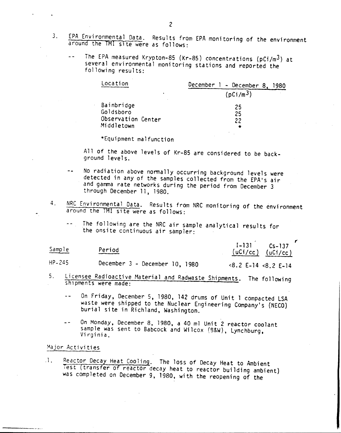- 3. EPA Environmental Data. Results from EPA monitoring of the environment around the TMI site were as follows:
	- The EPA measured Krypton-85 (Kr-85) concentrations (pCi/m3) at several environmental monitoring stations and reported the following results:

| Location                                      | December $1 -$ December 8.<br>1980 |
|-----------------------------------------------|------------------------------------|
| ٠                                             | (pCi/m <sup>3</sup> )              |
| Bainbridge<br>Goldsboro<br>Observation Center | 25<br>25<br>22                     |
| Middletown                                    |                                    |

\*Equipment malfunction

All of the above levels of Kr-85 are considered to be background levels.

- No radiation above nonnally occurring background levels were detected in any of the samples collected from the EPA's air and gamma rate networks during the period from December 3 through December 11, 1980.
- 4. NRC Environmental Data. Results from NRC monitoring of the environment around the TMI site were as follows:
	- The following are the NRC air sample analytical results for the onsite continuous air sampler:

| Sample | Period<br>________ | $1 - 131$<br>$(uCi/cc)$ $(uCi/cc)$ | $Cs - 137$ |
|--------|--------------------|------------------------------------|------------|
|        |                    |                                    |            |

HP-245 December 3 - December la, <sup>1980</sup> <8.2 E-14 <8.2 E-14

- 5. Licensee Radioactive Material and Radwaste Shipments. The following shipments were made:
	- On Friday, December 5. 1980, 142 drums of Unit 1 compacted LSA  $\ddotsc$ waste were shipped to the Nuclear Engineering Company's (NECO) burial site in Richland, Washington.
	- On Monday, December 8, 1980, a 40 ml Unit 2 reactor coolant  $\overline{a}$ sample was sent to Babcock and Wilcox (9&W), Lynchburg, Virginia,

#### Major Activities

.1. Reactor Decay Heat Cooling. The loss of Decay Heat to Ambient 7est (transfer of reactOr decay heat to reactor building ambient) was completed on December 9, 1980, with the reopening of the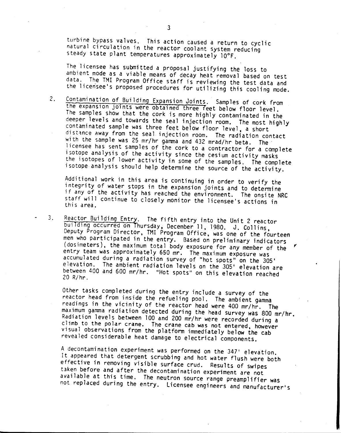turbine bypass valves. This action caused a return to cyclic natural circulation in the reactor coolant system reducing steady state plant temperatures approximately 10°F.

The licensee has submitted a proposal justifying the loss to ambient mode as a viable means of decay heat removal based on test data. The TMI Program Office staff is reviewing the test data and the licensee's proposed procedures for utilizing this cooling mode.

2. Contamination of Building Expansion Joints. Samples of cork from the expansion joints were obtained three feet below floor level. The samples show that the cork is more highly contaminated in the deeper levels and towards the seal injection room. The most highly contaminated sample was three feet below floor level, a short distance away from the seal injection room. The radiation contact with the sample was 25 mr/hr gamma and 432 mrad/hr beta. The licensee has sent samples of the cork to a contractor for a complete isotope analysis of the activity since the cesium activity masks the isotopes of lower activity in some of the samples. The complete isotope analysis should help determine the SOurce of the activity.

Additional work in this area is continuing in order to verify the integrity of water stops in the expansion joints and to determine if any of the activity has reached the environment. The onsite NRC staff will continue to closely monitor the licensee's actions in this area.

3. Reactor Building Entry. The fifth entry into the Unit 2 reactor building occurred on hursday, December 11, 1980. J. Collins, Deputy Program Director, TMI Program Office, was one of the fourteen men who participated in the entry. Based on preliminary indicators (dosimeters), the maximum total body exposure for any member of the entry team was dpproximately 650 mr. The maximum exposure was accumulated during a radiation survey of "hot spots" on the 30S<sup>t</sup> elevation. The ambient radiation levels on the 305' elevation are between 400 and 600 mr/hr. "Hot spots" on this elevation reached 20 R/hr.

Other tasks completed during the entry include a survey of the reactor head from inside the refueling pool. The ambient gamma readings *in* the vicinity of the reactor head were 400 mr/hr. The maximum gamma radiation detected during the head Survey was 800 mr/hr. Radiation levels between 100 and 200 mr/hr were recorded during a climb to the polar crane. The crane cab was not entered, however visual observations from the platform immediately below the cab revealed considerable heat damage to electrical components.

A decontamination experiment was performed on the 347' elevation. It appeared that detergent scrubbing and hot water flush were both effective in removing visible surface crud. Results of swipes taken before and after the decontamination experiment are not available at this time. The neutron source range preamplifier was not replaced during the entry. licensee engineers and manufacturer's